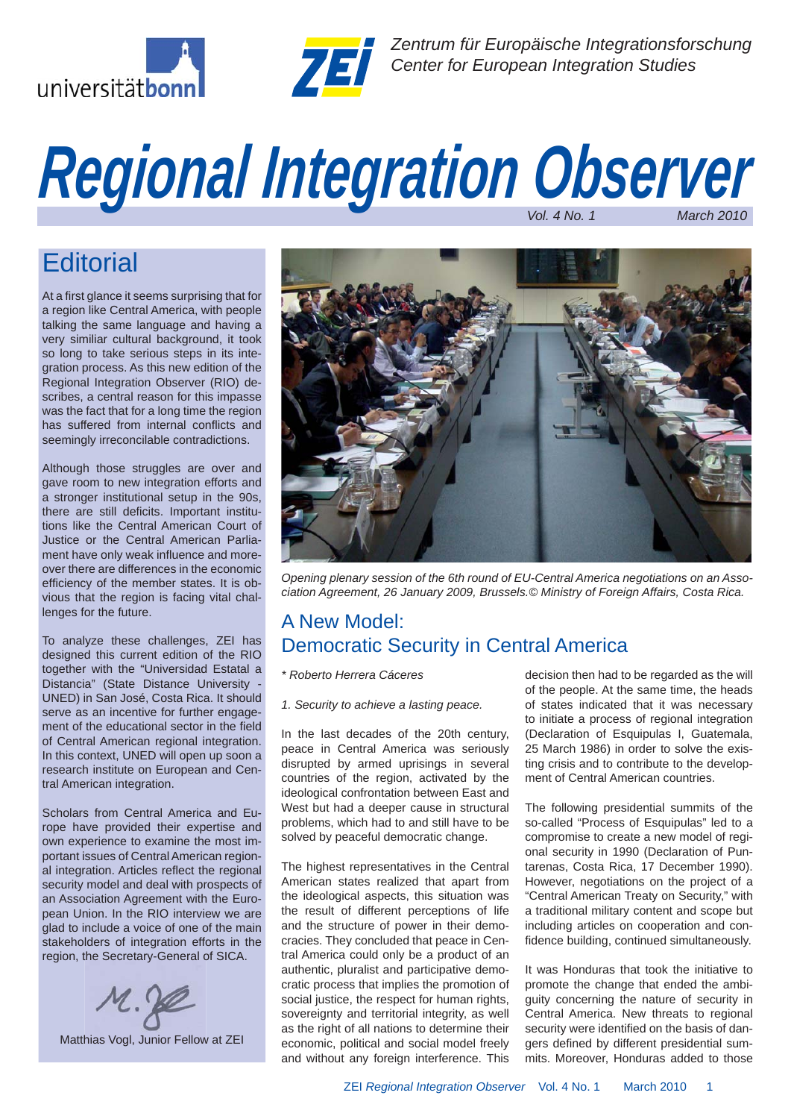



*Zentrum für Europäische Integrationsforschung* **Center for Europaische Integrationsformer Center for European Integration Studies** 

# *Vol. 4 No. 1 March 2010 Regional Integration Observer*

## **Editorial**

At a first glance it seems surprising that for a region like Central America, with people talking the same language and having a very similiar cultural background, it took so long to take serious steps in its integration process. As this new edition of the Regional Integration Observer (RIO) describes, a central reason for this impasse was the fact that for a long time the region has suffered from internal conflicts and seemingly irreconcilable contradictions.

Although those struggles are over and gave room to new integration efforts and a stronger institutional setup in the 90s, there are still deficits. Important institutions like the Central American Court of Justice or the Central American Parliament have only weak influence and moreover there are differences in the economic efficiency of the member states. It is obvious that the region is facing vital challenges for the future.

To analyze these challenges, ZEI has designed this current edition of the RIO together with the "Universidad Estatal a Distancia" (State Distance University - UNED) in San José, Costa Rica. It should serve as an incentive for further engagement of the educational sector in the field of Central American regional integration. In this context, UNED will open up soon a research institute on European and Central American integration.

Scholars from Central America and Europe have provided their expertise and own experience to examine the most important issues of Central American regional integration. Articles reflect the regional security model and deal with prospects of an Association Agreement with the European Union. In the RIO interview we are glad to include a voice of one of the main stakeholders of integration efforts in the region, the Secretary-General of SICA.



Matthias Vogl, Junior Fellow at ZEI



*Opening plenary session of the 6th round of EU-Central America negotiations on an Association Agreement, 26 January 2009, Brussels.© Ministry of Foreign Affairs, Costa Rica.*

## A New Model: Democratic Security in Central America

*\* Roberto Herrera Cáceres*

*1. Security to achieve a lasting peace.*

In the last decades of the 20th century, peace in Central America was seriously disrupted by armed uprisings in several countries of the region, activated by the ideological confrontation between East and West but had a deeper cause in structural problems, which had to and still have to be solved by peaceful democratic change.

The highest representatives in the Central American states realized that apart from the ideological aspects, this situation was the result of different perceptions of life and the structure of power in their democracies. They concluded that peace in Central America could only be a product of an authentic, pluralist and participative democratic process that implies the promotion of social justice, the respect for human rights, sovereignty and territorial integrity, as well as the right of all nations to determine their economic, political and social model freely and without any foreign interference. This decision then had to be regarded as the will of the people. At the same time, the heads of states indicated that it was necessary to initiate a process of regional integration (Declaration of Esquipulas I, Guatemala, 25 March 1986) in order to solve the existing crisis and to contribute to the development of Central American countries.

The following presidential summits of the so-called "Process of Esquipulas" led to a compromise to create a new model of regional security in 1990 (Declaration of Puntarenas, Costa Rica, 17 December 1990). However, negotiations on the project of a "Central American Treaty on Security," with a traditional military content and scope but including articles on cooperation and confidence building, continued simultaneously.

It was Honduras that took the initiative to promote the change that ended the ambiguity concerning the nature of security in Central America. New threats to regional security were identified on the basis of dangers defined by different presidential summits. Moreover, Honduras added to those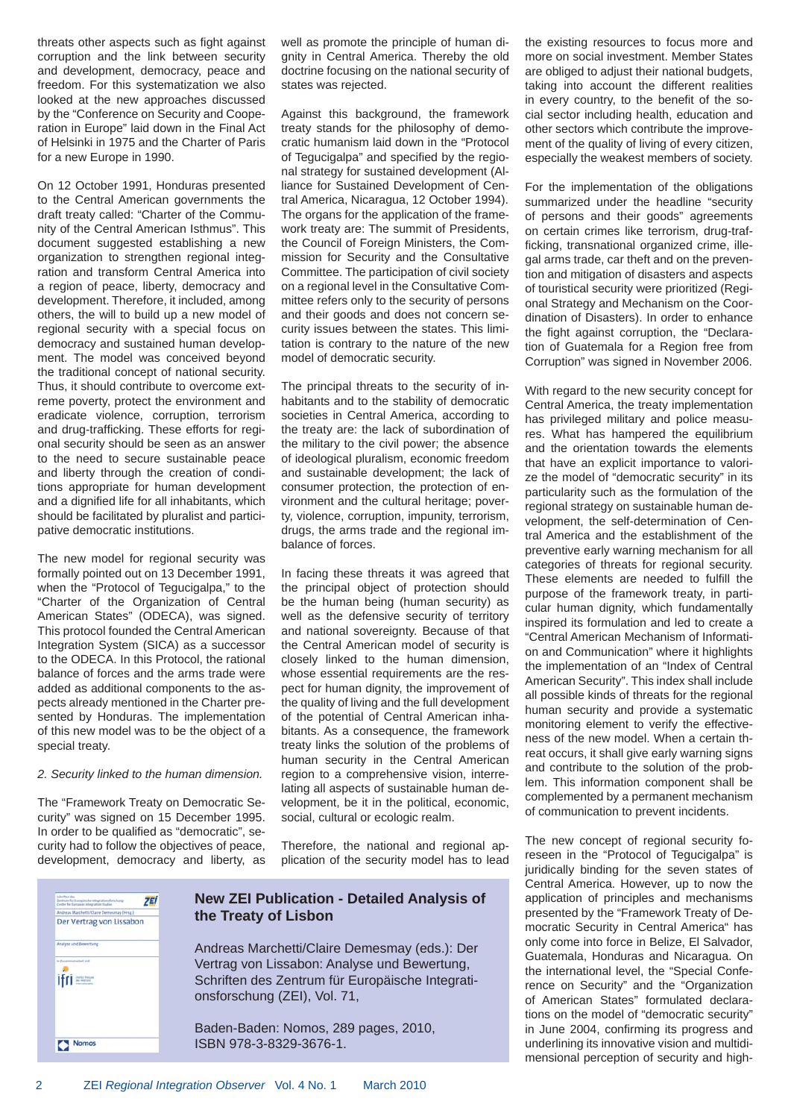threats other aspects such as fight against corruption and the link between security and development, democracy, peace and freedom. For this systematization we also looked at the new approaches discussed by the "Conference on Security and Cooperation in Europe" laid down in the Final Act of Helsinki in 1975 and the Charter of Paris for a new Europe in 1990.

On 12 October 1991, Honduras presented to the Central American governments the draft treaty called: "Charter of the Community of the Central American Isthmus". This document suggested establishing a new organization to strengthen regional integration and transform Central America into a region of peace, liberty, democracy and development. Therefore, it included, among others, the will to build up a new model of regional security with a special focus on democracy and sustained human development. The model was conceived beyond the traditional concept of national security. Thus, it should contribute to overcome extreme poverty, protect the environment and eradicate violence, corruption, terrorism and drug-trafficking. These efforts for regional security should be seen as an answer to the need to secure sustainable peace and liberty through the creation of conditions appropriate for human development and a dignified life for all inhabitants, which should be facilitated by pluralist and participative democratic institutions.

The new model for regional security was formally pointed out on 13 December 1991, when the "Protocol of Tegucigalpa," to the "Charter of the Organization of Central American States" (ODECA), was signed. This protocol founded the Central American Integration System (SICA) as a successor to the ODECA. In this Protocol, the rational balance of forces and the arms trade were added as additional components to the aspects already mentioned in the Charter presented by Honduras. The implementation of this new model was to be the object of a special treaty.

#### *2. Security linked to the human dimension.*

The "Framework Treaty on Democratic Security" was signed on 15 December 1995. In order to be qualified as "democratic", security had to follow the objectives of peace, development, democracy and liberty, as well as promote the principle of human dignity in Central America. Thereby the old doctrine focusing on the national security of states was rejected.

Against this background, the framework treaty stands for the philosophy of democratic humanism laid down in the "Protocol of Tequcigalpa" and specified by the regional strategy for sustained development (Alliance for Sustained Development of Central America, Nicaragua, 12 October 1994). The organs for the application of the framework treaty are: The summit of Presidents, the Council of Foreign Ministers, the Commission for Security and the Consultative Committee. The participation of civil society on a regional level in the Consultative Committee refers only to the security of persons and their goods and does not concern security issues between the states. This limitation is contrary to the nature of the new model of democratic security.

The principal threats to the security of inhabitants and to the stability of democratic societies in Central America, according to the treaty are: the lack of subordination of the military to the civil power; the absence of ideological pluralism, economic freedom and sustainable development; the lack of consumer protection, the protection of environment and the cultural heritage; poverty, violence, corruption, impunity, terrorism, drugs, the arms trade and the regional imbalance of forces.

In facing these threats it was agreed that the principal object of protection should be the human being (human security) as well as the defensive security of territory and national sovereignty. Because of that the Central American model of security is closely linked to the human dimension, whose essential requirements are the respect for human dignity, the improvement of the quality of living and the full development of the potential of Central American inhabitants. As a consequence, the framework treaty links the solution of the problems of human security in the Central American region to a comprehensive vision, interrelating all aspects of sustainable human development, be it in the political, economic, social, cultural or ecologic realm.

Therefore, the national and regional application of the security model has to lead

| <b>Schefflass days</b><br><b>Zentrute for Europäische totegrationsforichung</b><br>Center for European Integration Mudiev | <b>ZEI</b> |
|---------------------------------------------------------------------------------------------------------------------------|------------|
| Andreas Marchetti/Claire Demesmay (Hrsg.)                                                                                 |            |
| Der Vertrag von Lissabon                                                                                                  |            |
| Analyse und Bewertung                                                                                                     |            |
| in Zusalemenarbeit mit                                                                                                    |            |
| ifri≡                                                                                                                     |            |
|                                                                                                                           |            |
|                                                                                                                           |            |
|                                                                                                                           |            |
|                                                                                                                           |            |
| Nomos                                                                                                                     |            |

#### **New ZEI Publication - Detailed Analysis of the Treaty of Lisbon**

Andreas Marchetti/Claire Demesmay (eds.): Der Vertrag von Lissabon: Analyse und Bewertung, Schriften des Zentrum für Europäische Integrationsforschung (ZEI), Vol. 71,

Baden-Baden: Nomos, 289 pages, 2010, ISBN 978-3-8329-3676-1.

the existing resources to focus more and more on social investment. Member States are obliged to adjust their national budgets, taking into account the different realities in every country, to the benefit of the social sector including health, education and other sectors which contribute the improvement of the quality of living of every citizen, especially the weakest members of society.

For the implementation of the obligations summarized under the headline "security of persons and their goods" agreements on certain crimes like terrorism, drug-trafficking, transnational organized crime, illegal arms trade, car theft and on the prevention and mitigation of disasters and aspects of touristical security were prioritized (Regional Strategy and Mechanism on the Coordination of Disasters). In order to enhance the fight against corruption, the "Declaration of Guatemala for a Region free from Corruption" was signed in November 2006.

With regard to the new security concept for Central America, the treaty implementation has privileged military and police measures. What has hampered the equilibrium and the orientation towards the elements that have an explicit importance to valorize the model of "democratic security" in its particularity such as the formulation of the regional strategy on sustainable human development, the self-determination of Central America and the establishment of the preventive early warning mechanism for all categories of threats for regional security. These elements are needed to fulfill the purpose of the framework treaty, in particular human dignity, which fundamentally inspired its formulation and led to create a "Central American Mechanism of Information and Communication" where it highlights the implementation of an "Index of Central American Security". This index shall include all possible kinds of threats for the regional human security and provide a systematic monitoring element to verify the effectiveness of the new model. When a certain threat occurs, it shall give early warning signs and contribute to the solution of the problem. This information component shall be complemented by a permanent mechanism of communication to prevent incidents.

The new concept of regional security foreseen in the "Protocol of Tegucigalpa" is juridically binding for the seven states of Central America. However, up to now the application of principles and mechanisms presented by the "Framework Treaty of Democratic Security in Central America" has only come into force in Belize, El Salvador, Guatemala, Honduras and Nicaragua. On the international level, the "Special Conference on Security" and the "Organization of American States" formulated declarations on the model of "democratic security" in June 2004, confirming its progress and underlining its innovative vision and multidimensional perception of security and high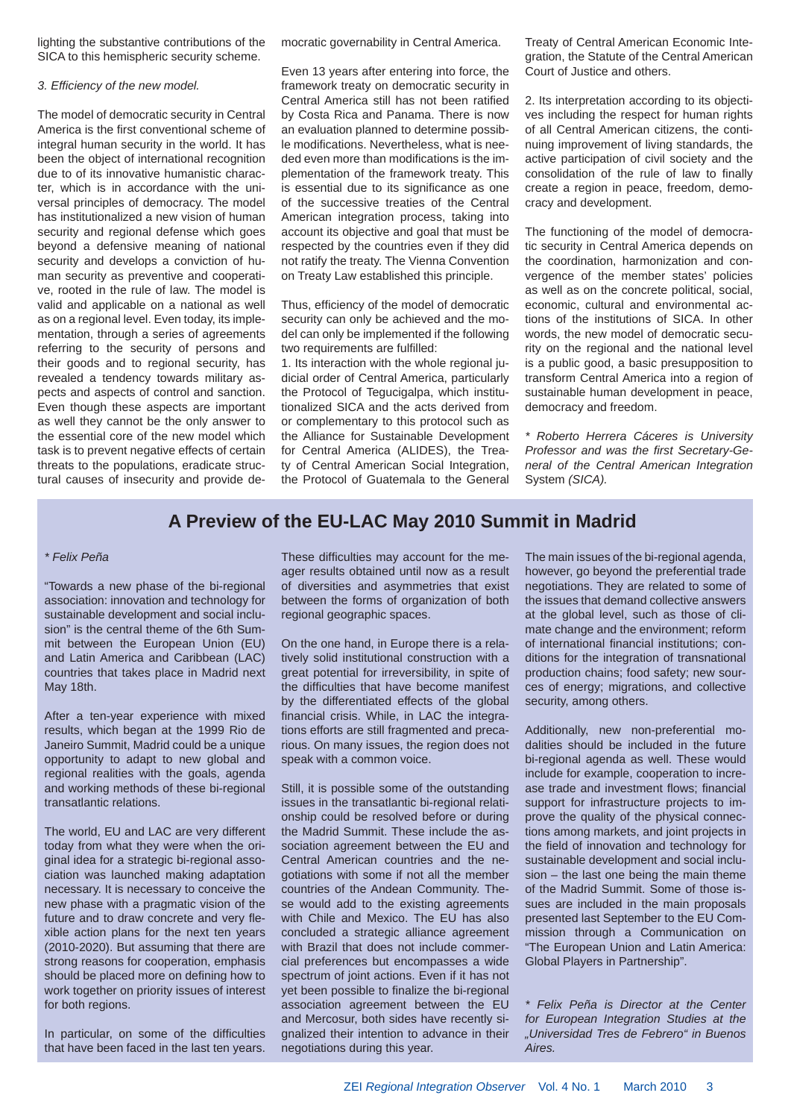lighting the substantive contributions of the SICA to this hemispheric security scheme.

#### *3. Effi ciency of the new model.*

The model of democratic security in Central America is the first conventional scheme of integral human security in the world. It has been the object of international recognition due to of its innovative humanistic character, which is in accordance with the universal principles of democracy. The model has institutionalized a new vision of human security and regional defense which goes beyond a defensive meaning of national security and develops a conviction of human security as preventive and cooperative, rooted in the rule of law. The model is valid and applicable on a national as well as on a regional level. Even today, its implementation, through a series of agreements referring to the security of persons and their goods and to regional security, has revealed a tendency towards military aspects and aspects of control and sanction. Even though these aspects are important as well they cannot be the only answer to the essential core of the new model which task is to prevent negative effects of certain threats to the populations, eradicate structural causes of insecurity and provide democratic governability in Central America.

Even 13 years after entering into force, the framework treaty on democratic security in Central America still has not been ratified by Costa Rica and Panama. There is now an evaluation planned to determine possible modifications. Nevertheless, what is needed even more than modifications is the implementation of the framework treaty. This is essential due to its significance as one of the successive treaties of the Central American integration process, taking into account its objective and goal that must be respected by the countries even if they did not ratify the treaty. The Vienna Convention on Treaty Law established this principle.

Thus, efficiency of the model of democratic security can only be achieved and the model can only be implemented if the following two requirements are fulfilled:

1. Its interaction with the whole regional judicial order of Central America, particularly the Protocol of Tegucigalpa, which institutionalized SICA and the acts derived from or complementary to this protocol such as the Alliance for Sustainable Development for Central America (ALIDES), the Treaty of Central American Social Integration, the Protocol of Guatemala to the General Treaty of Central American Economic Integration, the Statute of the Central American Court of Justice and others.

2. Its interpretation according to its objectives including the respect for human rights of all Central American citizens, the continuing improvement of living standards, the active participation of civil society and the consolidation of the rule of law to finally create a region in peace, freedom, democracy and development.

The functioning of the model of democratic security in Central America depends on the coordination, harmonization and convergence of the member states' policies as well as on the concrete political, social, economic, cultural and environmental actions of the institutions of SICA. In other words, the new model of democratic security on the regional and the national level is a public good, a basic presupposition to transform Central America into a region of sustainable human development in peace, democracy and freedom.

*\* Roberto Herrera Cáceres is University*  **Professor and was the first Secretary-Ge***neral of the Central American Integration*  System *(SICA).* 

### **A Preview of the EU-LAC May 2010 Summit in Madrid**

#### *\* Felix Peña*

"Towards a new phase of the bi-regional association: innovation and technology for sustainable development and social inclusion" is the central theme of the 6th Summit between the European Union (EU) and Latin America and Caribbean (LAC) countries that takes place in Madrid next May 18th.

After a ten-year experience with mixed results, which began at the 1999 Rio de Janeiro Summit, Madrid could be a unique opportunity to adapt to new global and regional realities with the goals, agenda and working methods of these bi-regional transatlantic relations.

The world, EU and LAC are very different today from what they were when the original idea for a strategic bi-regional association was launched making adaptation necessary. It is necessary to conceive the new phase with a pragmatic vision of the future and to draw concrete and very flexible action plans for the next ten years (2010-2020). But assuming that there are strong reasons for cooperation, emphasis should be placed more on defining how to work together on priority issues of interest for both regions.

In particular, on some of the difficulties that have been faced in the last ten years. These difficulties may account for the meager results obtained until now as a result of diversities and asymmetries that exist between the forms of organization of both regional geographic spaces.

On the one hand, in Europe there is a relatively solid institutional construction with a great potential for irreversibility, in spite of the difficulties that have become manifest by the differentiated effects of the global financial crisis. While, in LAC the integrations efforts are still fragmented and precarious. On many issues, the region does not speak with a common voice.

Still, it is possible some of the outstanding issues in the transatlantic bi-regional relationship could be resolved before or during the Madrid Summit. These include the association agreement between the EU and Central American countries and the negotiations with some if not all the member countries of the Andean Community. These would add to the existing agreements with Chile and Mexico. The EU has also concluded a strategic alliance agreement with Brazil that does not include commercial preferences but encompasses a wide spectrum of joint actions. Even if it has not yet been possible to finalize the bi-regional association agreement between the EU and Mercosur, both sides have recently signalized their intention to advance in their negotiations during this year.

The main issues of the bi-regional agenda, however, go beyond the preferential trade negotiations. They are related to some of the issues that demand collective answers at the global level, such as those of climate change and the environment; reform of international financial institutions; conditions for the integration of transnational production chains; food safety; new sources of energy; migrations, and collective security, among others.

Additionally, new non-preferential modalities should be included in the future bi-regional agenda as well. These would include for example, cooperation to increase trade and investment flows; financial support for infrastructure projects to improve the quality of the physical connections among markets, and joint projects in the field of innovation and technology for sustainable development and social inclusion – the last one being the main theme of the Madrid Summit. Some of those issues are included in the main proposals presented last September to the EU Commission through a Communication on "The European Union and Latin America: Global Players in Partnership".

*\* Felix Peña is Director at the Center for European Integration Studies at the "Universidad Tres de Febrero" in Buenos Aires.*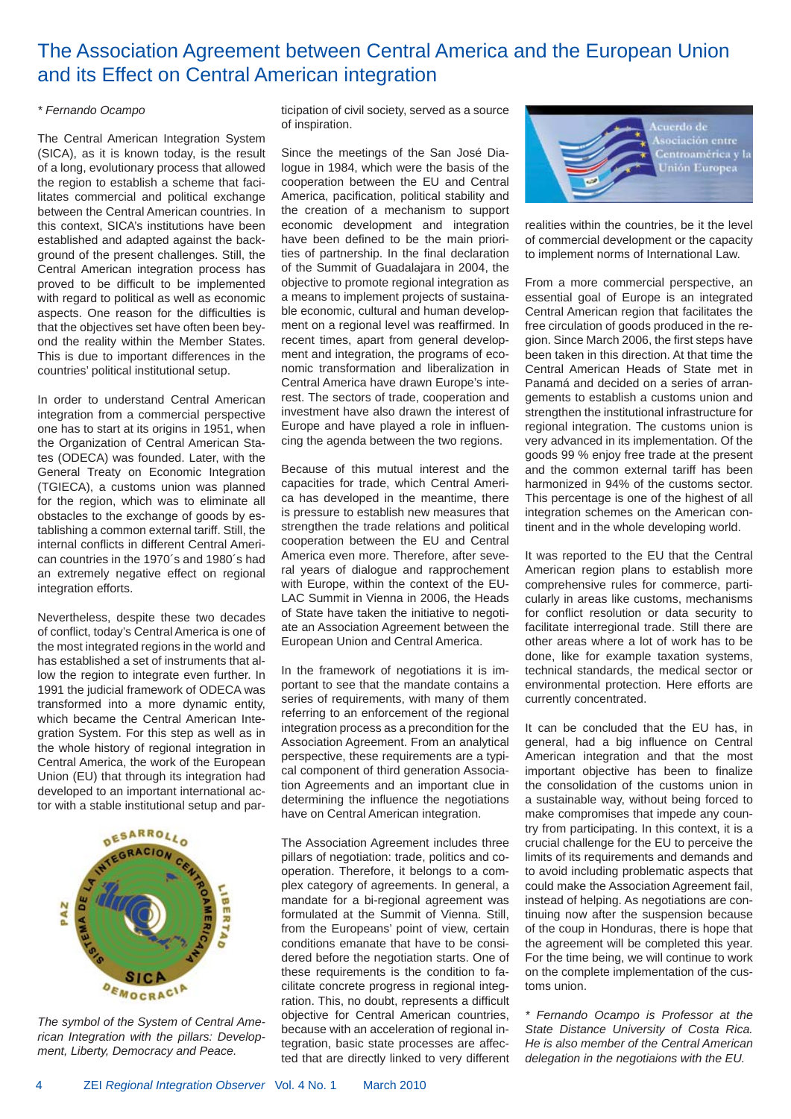## The Association Agreement between Central America and the European Union and its Effect on Central American integration

#### *\* Fernando Ocampo*

The Central American Integration System (SICA), as it is known today, is the result of a long, evolutionary process that allowed the region to establish a scheme that facilitates commercial and political exchange between the Central American countries. In this context, SICA's institutions have been established and adapted against the background of the present challenges. Still, the Central American integration process has proved to be difficult to be implemented with regard to political as well as economic aspects. One reason for the difficulties is that the objectives set have often been beyond the reality within the Member States. This is due to important differences in the countries' political institutional setup.

In order to understand Central American integration from a commercial perspective one has to start at its origins in 1951, when the Organization of Central American States (ODECA) was founded. Later, with the General Treaty on Economic Integration (TGIECA), a customs union was planned for the region, which was to eliminate all obstacles to the exchange of goods by establishing a common external tariff. Still, the internal conflicts in different Central American countries in the 1970´s and 1980´s had an extremely negative effect on regional integration efforts.

Nevertheless, despite these two decades of conflict, today's Central America is one of the most integrated regions in the world and has established a set of instruments that allow the region to integrate even further. In 1991 the judicial framework of ODECA was transformed into a more dynamic entity, which became the Central American Integration System. For this step as well as in the whole history of regional integration in Central America, the work of the European Union (EU) that through its integration had developed to an important international actor with a stable institutional setup and par-



*The symbol of the System of Central American Integration with the pillars: Development, Liberty, Democracy and Peace.*

ticipation of civil society, served as a source of inspiration.

Since the meetings of the San José Dialogue in 1984, which were the basis of the cooperation between the EU and Central America, pacification, political stability and the creation of a mechanism to support economic development and integration have been defined to be the main priorities of partnership. In the final declaration of the Summit of Guadalajara in 2004, the objective to promote regional integration as a means to implement projects of sustainable economic, cultural and human development on a regional level was reaffirmed. In recent times, apart from general development and integration, the programs of economic transformation and liberalization in Central America have drawn Europe's interest. The sectors of trade, cooperation and investment have also drawn the interest of Europe and have played a role in influencing the agenda between the two regions.

Because of this mutual interest and the capacities for trade, which Central America has developed in the meantime, there is pressure to establish new measures that strengthen the trade relations and political cooperation between the EU and Central America even more. Therefore, after several years of dialogue and rapprochement with Europe, within the context of the EU-LAC Summit in Vienna in 2006, the Heads of State have taken the initiative to negotiate an Association Agreement between the European Union and Central America.

In the framework of negotiations it is important to see that the mandate contains a series of requirements, with many of them referring to an enforcement of the regional integration process as a precondition for the Association Agreement. From an analytical perspective, these requirements are a typical component of third generation Association Agreements and an important clue in determining the influence the negotiations have on Central American integration.

The Association Agreement includes three pillars of negotiation: trade, politics and cooperation. Therefore, it belongs to a complex category of agreements. In general, a mandate for a bi-regional agreement was formulated at the Summit of Vienna. Still, from the Europeans' point of view, certain conditions emanate that have to be considered before the negotiation starts. One of these requirements is the condition to facilitate concrete progress in regional integration. This, no doubt, represents a difficult objective for Central American countries, because with an acceleration of regional integration, basic state processes are affected that are directly linked to very different



realities within the countries, be it the level of commercial development or the capacity to implement norms of International Law.

From a more commercial perspective, an essential goal of Europe is an integrated Central American region that facilitates the free circulation of goods produced in the region. Since March 2006, the first steps have been taken in this direction. At that time the Central American Heads of State met in Panamá and decided on a series of arrangements to establish a customs union and strengthen the institutional infrastructure for regional integration. The customs union is very advanced in its implementation. Of the goods 99 % enjoy free trade at the present and the common external tariff has been harmonized in 94% of the customs sector. This percentage is one of the highest of all integration schemes on the American continent and in the whole developing world.

It was reported to the EU that the Central American region plans to establish more comprehensive rules for commerce, particularly in areas like customs, mechanisms for conflict resolution or data security to facilitate interregional trade. Still there are other areas where a lot of work has to be done, like for example taxation systems, technical standards, the medical sector or environmental protection. Here efforts are currently concentrated.

It can be concluded that the EU has, in general, had a big influence on Central American integration and that the most important objective has been to finalize the consolidation of the customs union in a sustainable way, without being forced to make compromises that impede any country from participating. In this context, it is a crucial challenge for the EU to perceive the limits of its requirements and demands and to avoid including problematic aspects that could make the Association Agreement fail, instead of helping. As negotiations are continuing now after the suspension because of the coup in Honduras, there is hope that the agreement will be completed this year. For the time being, we will continue to work on the complete implementation of the customs union.

*\* Fernando Ocampo is Professor at the State Distance University of Costa Rica. He is also member of the Central American delegation in the negotiaions with the EU.*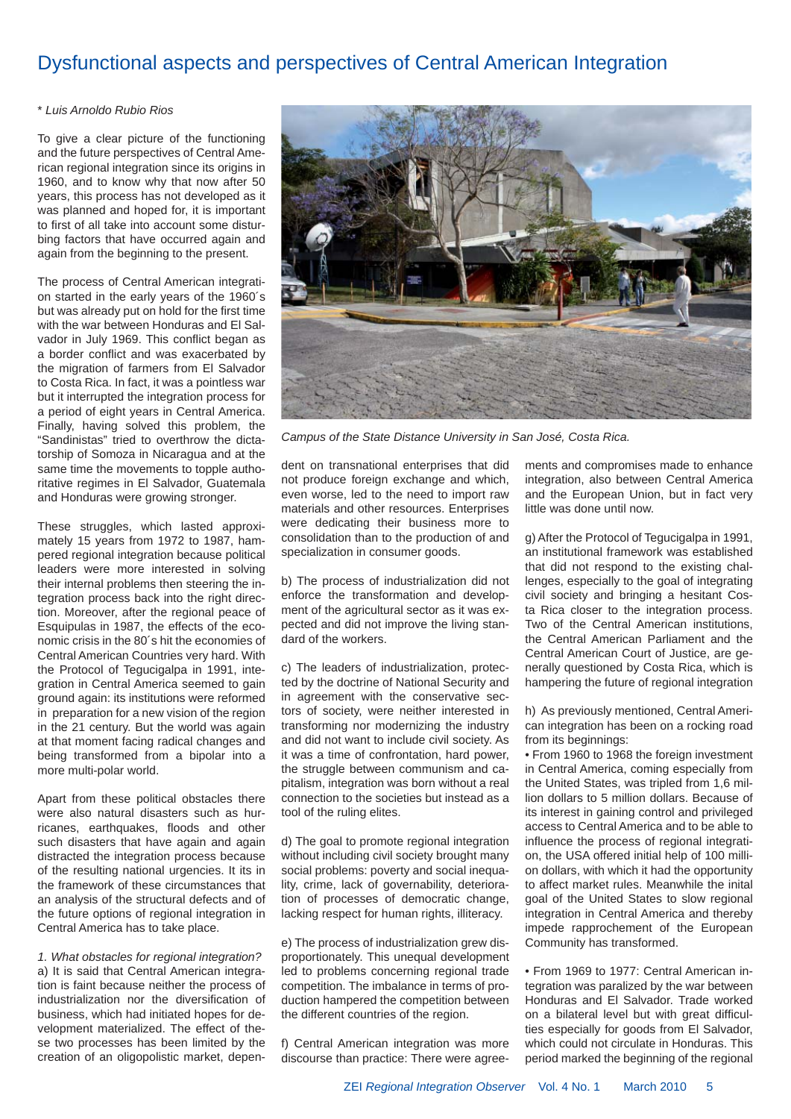## Dysfunctional aspects and perspectives of Central American Integration

#### \* *Luis Arnoldo Rubio Rios*

To give a clear picture of the functioning and the future perspectives of Central American regional integration since its origins in 1960, and to know why that now after 50 years, this process has not developed as it was planned and hoped for, it is important to first of all take into account some disturbing factors that have occurred again and again from the beginning to the present.

The process of Central American integration started in the early years of the 1960´s but was already put on hold for the first time with the war between Honduras and El Salvador in July 1969. This conflict began as a border conflict and was exacerbated by the migration of farmers from El Salvador to Costa Rica. In fact, it was a pointless war but it interrupted the integration process for a period of eight years in Central America. Finally, having solved this problem, the "Sandinistas" tried to overthrow the dictatorship of Somoza in Nicaragua and at the same time the movements to topple authoritative regimes in El Salvador, Guatemala and Honduras were growing stronger.

These struggles, which lasted approximately 15 years from 1972 to 1987, hampered regional integration because political leaders were more interested in solving their internal problems then steering the integration process back into the right direction. Moreover, after the regional peace of Esquipulas in 1987, the effects of the economic crisis in the 80´s hit the economies of Central American Countries very hard. With the Protocol of Tegucigalpa in 1991, integration in Central America seemed to gain ground again: its institutions were reformed in preparation for a new vision of the region in the 21 century. But the world was again at that moment facing radical changes and being transformed from a bipolar into a more multi-polar world.

Apart from these political obstacles there were also natural disasters such as hurricanes, earthquakes, floods and other such disasters that have again and again distracted the integration process because of the resulting national urgencies. It its in the framework of these circumstances that an analysis of the structural defects and of the future options of regional integration in Central America has to take place.

*1. What obstacles for regional integration?* a) It is said that Central American integration is faint because neither the process of industrialization nor the diversification of business, which had initiated hopes for development materialized. The effect of these two processes has been limited by the creation of an oligopolistic market, depen-



*Campus of the State Distance University in San José, Costa Rica.*

dent on transnational enterprises that did not produce foreign exchange and which, even worse, led to the need to import raw materials and other resources. Enterprises were dedicating their business more to consolidation than to the production of and specialization in consumer goods.

b) The process of industrialization did not enforce the transformation and development of the agricultural sector as it was expected and did not improve the living standard of the workers.

c) The leaders of industrialization, protected by the doctrine of National Security and in agreement with the conservative sectors of society, were neither interested in transforming nor modernizing the industry and did not want to include civil society. As it was a time of confrontation, hard power, the struggle between communism and capitalism, integration was born without a real connection to the societies but instead as a tool of the ruling elites.

d) The goal to promote regional integration without including civil society brought many social problems: poverty and social inequality, crime, lack of governability, deterioration of processes of democratic change, lacking respect for human rights, illiteracy.

e) The process of industrialization grew disproportionately. This unequal development led to problems concerning regional trade competition. The imbalance in terms of production hampered the competition between the different countries of the region.

f) Central American integration was more discourse than practice: There were agreements and compromises made to enhance integration, also between Central America and the European Union, but in fact very little was done until now.

g) After the Protocol of Tegucigalpa in 1991, an institutional framework was established that did not respond to the existing challenges, especially to the goal of integrating civil society and bringing a hesitant Costa Rica closer to the integration process. Two of the Central American institutions, the Central American Parliament and the Central American Court of Justice, are generally questioned by Costa Rica, which is hampering the future of regional integration

h) As previously mentioned, Central American integration has been on a rocking road from its beginnings:

• From 1960 to 1968 the foreign investment in Central America, coming especially from the United States, was tripled from 1,6 million dollars to 5 million dollars. Because of its interest in gaining control and privileged access to Central America and to be able to influence the process of regional integration, the USA offered initial help of 100 million dollars, with which it had the opportunity to affect market rules. Meanwhile the inital goal of the United States to slow regional integration in Central America and thereby impede rapprochement of the European Community has transformed.

• From 1969 to 1977: Central American integration was paralized by the war between Honduras and El Salvador. Trade worked on a bilateral level but with great difficulties especially for goods from El Salvador, which could not circulate in Honduras. This period marked the beginning of the regional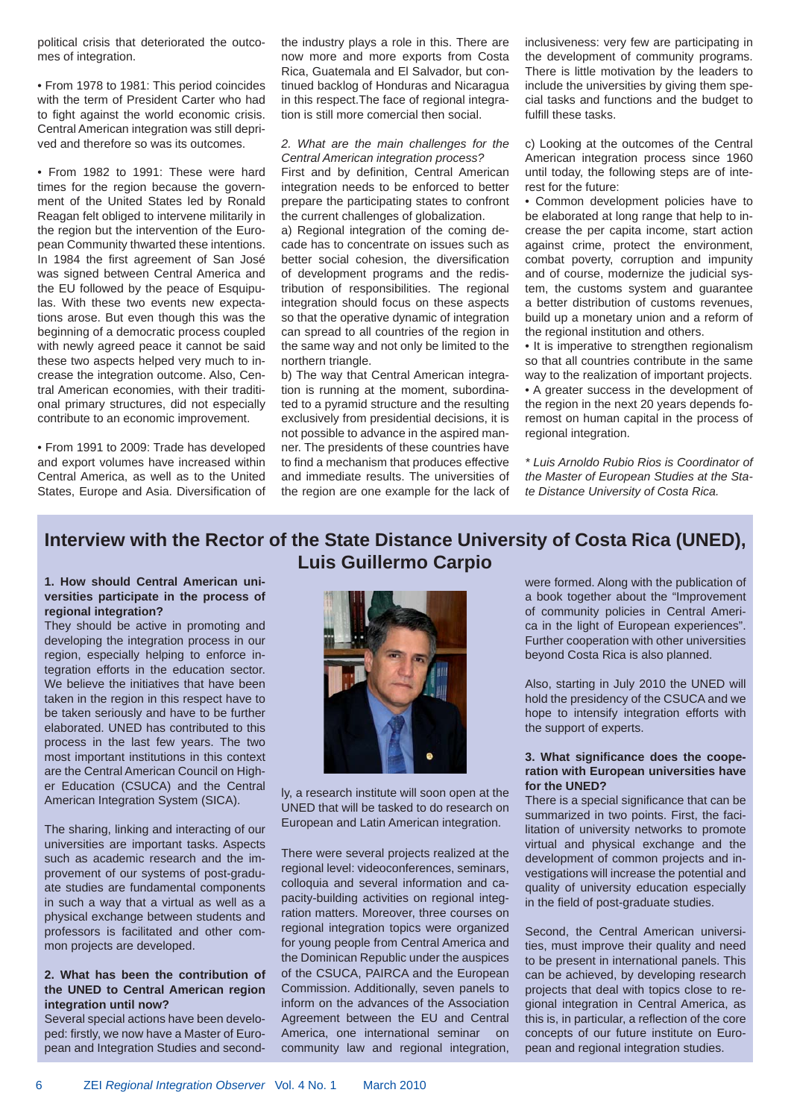political crisis that deteriorated the outcomes of integration.

• From 1978 to 1981: This period coincides with the term of President Carter who had to fight against the world economic crisis. Central American integration was still deprived and therefore so was its outcomes.

• From 1982 to 1991: These were hard times for the region because the government of the United States led by Ronald Reagan felt obliged to intervene militarily in the region but the intervention of the European Community thwarted these intentions. In 1984 the first agreement of San José was signed between Central America and the EU followed by the peace of Esquipulas. With these two events new expectations arose. But even though this was the beginning of a democratic process coupled with newly agreed peace it cannot be said these two aspects helped very much to increase the integration outcome. Also, Central American economies, with their traditional primary structures, did not especially contribute to an economic improvement.

• From 1991 to 2009: Trade has developed and export volumes have increased within Central America, as well as to the United States, Europe and Asia. Diversification of the industry plays a role in this. There are now more and more exports from Costa Rica, Guatemala and El Salvador, but continued backlog of Honduras and Nicaragua in this respect.The face of regional integration is still more comercial then social.

#### *2. What are the main challenges for the Central American integration process?*

First and by definition, Central American integration needs to be enforced to better prepare the participating states to confront the current challenges of globalization.

a) Regional integration of the coming decade has to concentrate on issues such as better social cohesion, the diversification of development programs and the redistribution of responsibilities. The regional integration should focus on these aspects so that the operative dynamic of integration can spread to all countries of the region in the same way and not only be limited to the northern triangle.

b) The way that Central American integration is running at the moment, subordinated to a pyramid structure and the resulting exclusively from presidential decisions, it is not possible to advance in the aspired manner. The presidents of these countries have to find a mechanism that produces effective and immediate results. The universities of the region are one example for the lack of inclusiveness: very few are participating in the development of community programs. There is little motivation by the leaders to include the universities by giving them special tasks and functions and the budget to fulfill these tasks.

c) Looking at the outcomes of the Central American integration process since 1960 until today, the following steps are of interest for the future:

• Common development policies have to be elaborated at long range that help to increase the per capita income, start action against crime, protect the environment, combat poverty, corruption and impunity and of course, modernize the judicial system, the customs system and guarantee a better distribution of customs revenues, build up a monetary union and a reform of the regional institution and others.

• It is imperative to strengthen regionalism so that all countries contribute in the same way to the realization of important projects. • A greater success in the development of the region in the next 20 years depends foremost on human capital in the process of regional integration.

*\* Luis Arnoldo Rubio Rios is Coordinator of the Master of European Studies at the State Distance University of Costa Rica.*

## **Interview with the Rector of the State Distance University of Costa Rica (UNED), Luis Guillermo Carpio**

#### **1. How should Central American universities participate in the process of regional integration?**

They should be active in promoting and developing the integration process in our region, especially helping to enforce integration efforts in the education sector. We believe the initiatives that have been taken in the region in this respect have to be taken seriously and have to be further elaborated. UNED has contributed to this process in the last few years. The two most important institutions in this context are the Central American Council on Higher Education (CSUCA) and the Central American Integration System (SICA).

The sharing, linking and interacting of our universities are important tasks. Aspects such as academic research and the improvement of our systems of post-graduate studies are fundamental components in such a way that a virtual as well as a physical exchange between students and professors is facilitated and other common projects are developed.

#### **2. What has been the contribution of the UNED to Central American region integration until now?**

Several special actions have been developed: firstly, we now have a Master of European and Integration Studies and second-



ly, a research institute will soon open at the UNED that will be tasked to do research on European and Latin American integration.

There were several projects realized at the regional level: videoconferences, seminars, colloquia and several information and capacity-building activities on regional integration matters. Moreover, three courses on regional integration topics were organized for young people from Central America and the Dominican Republic under the auspices of the CSUCA, PAIRCA and the European Commission. Additionally, seven panels to inform on the advances of the Association Agreement between the EU and Central America, one international seminar on community law and regional integration, were formed. Along with the publication of a book together about the "Improvement of community policies in Central America in the light of European experiences". Further cooperation with other universities beyond Costa Rica is also planned.

Also, starting in July 2010 the UNED will hold the presidency of the CSUCA and we hope to intensify integration efforts with the support of experts.

#### **3. What signifi cance does the cooperation with European universities have for the UNED?**

There is a special significance that can be summarized in two points. First, the facilitation of university networks to promote virtual and physical exchange and the development of common projects and investigations will increase the potential and quality of university education especially in the field of post-graduate studies.

Second, the Central American universities, must improve their quality and need to be present in international panels. This can be achieved, by developing research projects that deal with topics close to regional integration in Central America, as this is, in particular, a reflection of the core concepts of our future institute on European and regional integration studies.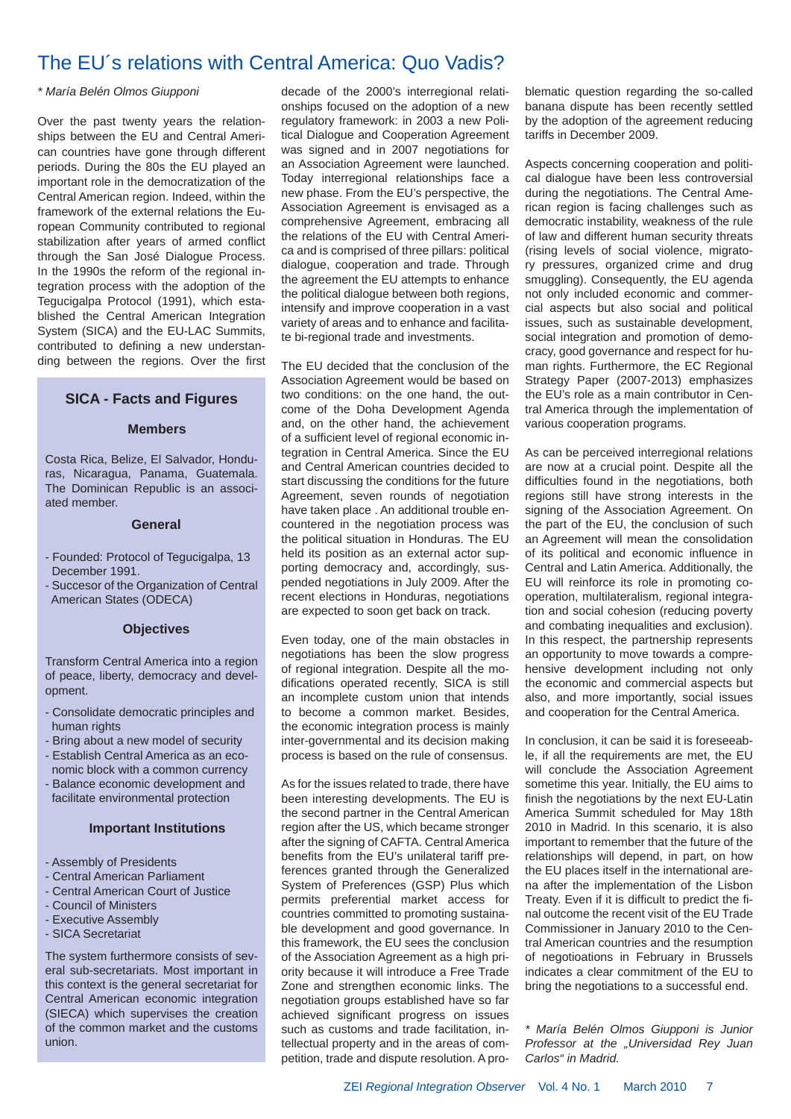## The EU´s relations with Central America: Quo Vadis?

#### *\* María Belén Olmos Giupponi*

Over the past twenty years the relationships between the EU and Central American countries have gone through different periods. During the 80s the EU played an important role in the democratization of the Central American region. Indeed, within the framework of the external relations the European Community contributed to regional stabilization after years of armed conflict through the San José Dialogue Process. In the 1990s the reform of the regional integration process with the adoption of the Tegucigalpa Protocol (1991), which established the Central American Integration System (SICA) and the EU-LAC Summits, contributed to defining a new understanding between the regions. Over the first

#### **SICA - Facts and Figures**

#### **Members**

Costa Rica, Belize, El Salvador, Honduras, Nicaragua, Panama, Guatemala. The Dominican Republic is an associated member.

#### **General**

- Founded: Protocol of Tegucigalpa, 13 December 1991.
- Succesor of the Organization of Central American States (ODECA)

#### **Objectives**

Transform Central America into a region of peace, liberty, democracy and development.

- Consolidate democratic principles and human rights
- Bring about a new model of security
- Establish Central America as an eco nomic block with a common currency
- Balance economic development and facilitate environmental protection

#### **Important Institutions**

- Assembly of Presidents
- Central American Parliament
- Central American Court of Justice
- Council of Ministers
- Executive Assembly
- SICA Secretariat

The system furthermore consists of several sub-secretariats. Most important in this context is the general secretariat for Central American economic integration (SIECA) which supervises the creation of the common market and the customs union.

decade of the 2000's interregional relationships focused on the adoption of a new regulatory framework: in 2003 a new Political Dialogue and Cooperation Agreement was signed and in 2007 negotiations for an Association Agreement were launched. Today interregional relationships face a new phase. From the EU's perspective, the Association Agreement is envisaged as a comprehensive Agreement, embracing all the relations of the EU with Central America and is comprised of three pillars: political dialogue, cooperation and trade. Through the agreement the EU attempts to enhance the political dialogue between both regions, intensify and improve cooperation in a vast variety of areas and to enhance and facilitate bi-regional trade and investments.

The EU decided that the conclusion of the Association Agreement would be based on two conditions: on the one hand, the outcome of the Doha Development Agenda and, on the other hand, the achievement of a sufficient level of regional economic integration in Central America. Since the EU and Central American countries decided to start discussing the conditions for the future Agreement, seven rounds of negotiation have taken place . An additional trouble encountered in the negotiation process was the political situation in Honduras. The EU held its position as an external actor supporting democracy and, accordingly, suspended negotiations in July 2009. After the recent elections in Honduras, negotiations are expected to soon get back on track.

Even today, one of the main obstacles in negotiations has been the slow progress of regional integration. Despite all the modifications operated recently. SICA is still an incomplete custom union that intends to become a common market. Besides, the economic integration process is mainly inter-governmental and its decision making process is based on the rule of consensus.

As for the issues related to trade, there have been interesting developments. The EU is the second partner in the Central American region after the US, which became stronger after the signing of CAFTA. Central America benefits from the EU's unilateral tariff preferences granted through the Generalized System of Preferences (GSP) Plus which permits preferential market access for countries committed to promoting sustainable development and good governance. In this framework, the EU sees the conclusion of the Association Agreement as a high priority because it will introduce a Free Trade Zone and strengthen economic links. The negotiation groups established have so far achieved significant progress on issues such as customs and trade facilitation, intellectual property and in the areas of competition, trade and dispute resolution. A problematic question regarding the so-called banana dispute has been recently settled by the adoption of the agreement reducing tariffs in December 2009.

Aspects concerning cooperation and political dialogue have been less controversial during the negotiations. The Central American region is facing challenges such as democratic instability, weakness of the rule of law and different human security threats (rising levels of social violence, migratory pressures, organized crime and drug smuggling). Consequently, the EU agenda not only included economic and commercial aspects but also social and political issues, such as sustainable development, social integration and promotion of democracy, good governance and respect for human rights. Furthermore, the EC Regional Strategy Paper (2007-2013) emphasizes the EU's role as a main contributor in Central America through the implementation of various cooperation programs.

As can be perceived interregional relations are now at a crucial point. Despite all the difficulties found in the negotiations, both regions still have strong interests in the signing of the Association Agreement. On the part of the EU, the conclusion of such an Agreement will mean the consolidation of its political and economic influence in Central and Latin America. Additionally, the EU will reinforce its role in promoting cooperation, multilateralism, regional integration and social cohesion (reducing poverty and combating inequalities and exclusion). In this respect, the partnership represents an opportunity to move towards a comprehensive development including not only the economic and commercial aspects but also, and more importantly, social issues and cooperation for the Central America.

In conclusion, it can be said it is foreseeable, if all the requirements are met, the EU will conclude the Association Agreement sometime this year. Initially, the EU aims to finish the negotiations by the next EU-Latin America Summit scheduled for May 18th 2010 in Madrid. In this scenario, it is also important to remember that the future of the relationships will depend, in part, on how the EU places itself in the international arena after the implementation of the Lisbon Treaty. Even if it is difficult to predict the final outcome the recent visit of the EU Trade Commissioner in January 2010 to the Central American countries and the resumption of negotioations in February in Brussels indicates a clear commitment of the EU to bring the negotiations to a successful end.

*\* María Belén Olmos Giupponi is Junior Professor at the "Universidad Rey Juan Carlos" in Madrid.*